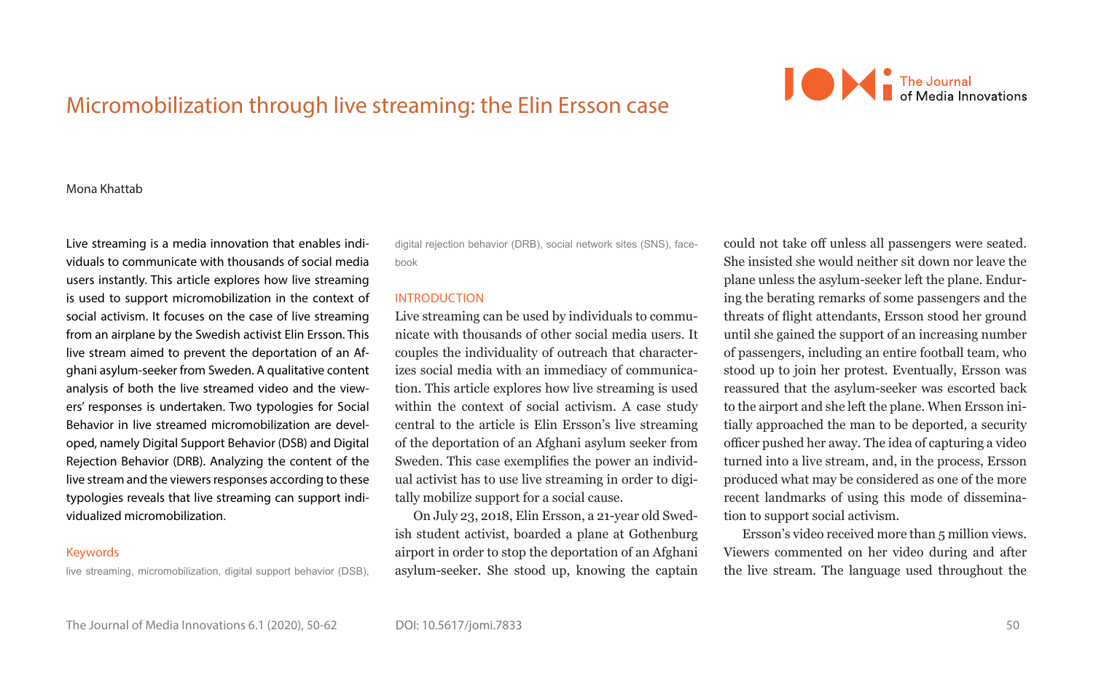

# Micromobilization through live streaming: the Elin Ersson case

#### Mona Khattab

Live streaming is a media innovation that enables individuals to communicate with thousands of social media users instantly. This article explores how live streaming is used to support micromobilization in the context of social activism. It focuses on the case of live streaming from an airplane by the Swedish activist Elin Ersson. This live stream aimed to prevent the deportation of an Afghani asylum-seeker from Sweden. A qualitative content analysis of both the live streamed video and the viewers' responses is undertaken. Two typologies for Social Behavior in live streamed micromobilization are developed, namely Digital Support Behavior (DSB) and Digital Rejection Behavior (DRB). Analyzing the content of the live stream and the viewers responses according to these typologies reveals that live streaming can support individualized micromobilization.

# Keywords

live streaming, micromobilization, digital support behavior (DSB),

digital rejection behavior (DRB), social network sites (SNS), facebook

## INTRODUCTION

DOI: 10.5617/jomi.7833

Live streaming can be used by individuals to communicate with thousands of other social media users. It couples the individuality of outreach that characterizes social media with an immediacy of communication. This article explores how live streaming is used within the context of social activism. A case study central to the article is Elin Ersson's live streaming of the deportation of an Afghani asylum seeker from Sweden. This case exemplifies the power an individual activist has to use live streaming in order to digitally mobilize support for a social cause.

On July 23, 2018, Elin Ersson, a 21-year old Swedish student activist, boarded a plane at Gothenburg airport in order to stop the deportation of an Afghani asylum-seeker. She stood up, knowing the captain could not take off unless all passengers were seated. She insisted she would neither sit down nor leave the plane unless the asylum-seeker left the plane. Enduring the berating remarks of some passengers and the threats of flight attendants, Ersson stood her ground until she gained the support of an increasing number of passengers, including an entire football team, who stood up to join her protest. Eventually, Ersson was reassured that the asylum-seeker was escorted back to the airport and she left the plane. When Ersson initially approached the man to be deported, a security officer pushed her away. The idea of capturing a video turned into a live stream, and, in the process, Ersson produced what may be considered as one of the more recent landmarks of using this mode of dissemination to support social activism.

Ersson's video received more than 5 million views. Viewers commented on her video during and after the live stream. The language used throughout the

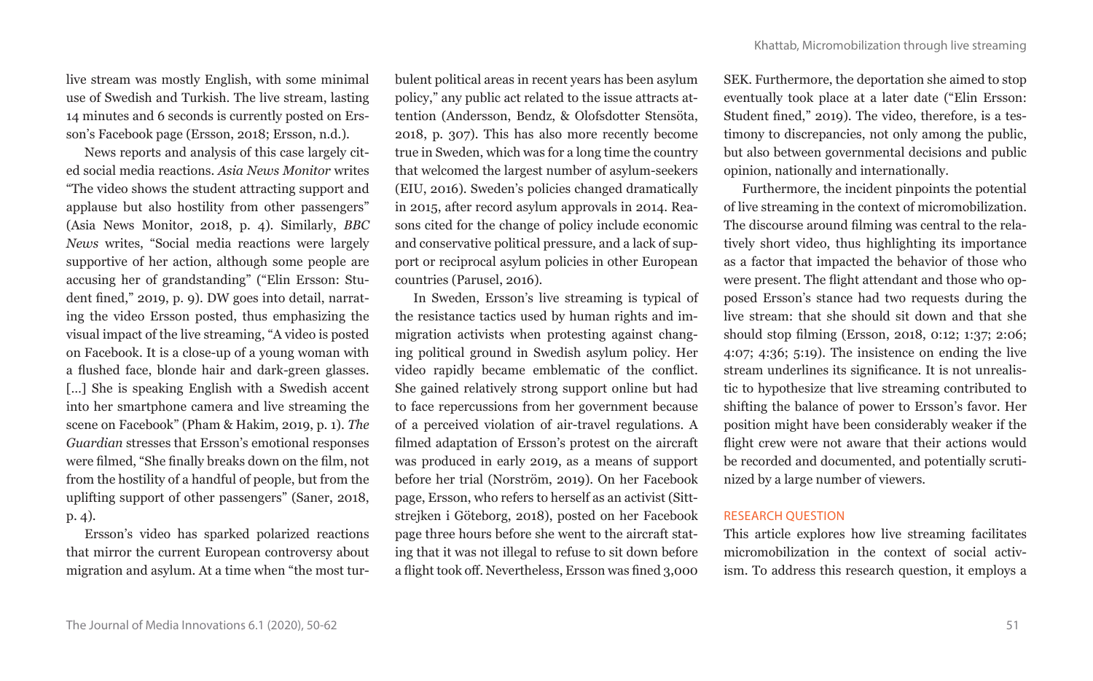live stream was mostly English, with some minimal use of Swedish and Turkish. The live stream, lasting 14 minutes and 6 seconds is currently posted on Ersson's Facebook page (Ersson, 2018; Ersson, n.d.).

News reports and analysis of this case largely cited social media reactions. *Asia News Monitor* writes "The video shows the student attracting support and applause but also hostility from other passengers" (Asia News Monitor, 2018, p. 4). Similarly, *BBC News* writes, "Social media reactions were largely supportive of her action, although some people are accusing her of grandstanding" ("Elin Ersson: Student fined," 2019, p. 9). DW goes into detail, narrating the video Ersson posted, thus emphasizing the visual impact of the live streaming, "A video is posted on Facebook. It is a close-up of a young woman with a flushed face, blonde hair and dark-green glasses. [...] She is speaking English with a Swedish accent into her smartphone camera and live streaming the scene on Facebook" (Pham & Hakim, 2019, p. 1). *The Guardian* stresses that Ersson's emotional responses were filmed, "She finally breaks down on the film, not from the hostility of a handful of people, but from the uplifting support of other passengers" (Saner, 2018, p. 4).

Ersson's video has sparked polarized reactions that mirror the current European controversy about migration and asylum. At a time when "the most tur-

bulent political areas in recent years has been asylum policy," any public act related to the issue attracts attention (Andersson, Bendz, & Olofsdotter Stensöta, 2018, p. 307). This has also more recently become true in Sweden, which was for a long time the country that welcomed the largest number of asylum-seekers (EIU, 2016). Sweden's policies changed dramatically in 2015, after record asylum approvals in 2014. Reasons cited for the change of policy include economic and conservative political pressure, and a lack of support or reciprocal asylum policies in other European countries (Parusel, 2016).

In Sweden, Ersson's live streaming is typical of the resistance tactics used by human rights and immigration activists when protesting against changing political ground in Swedish asylum policy. Her video rapidly became emblematic of the conflict. She gained relatively strong support online but had to face repercussions from her government because of a perceived violation of air-travel regulations. A filmed adaptation of Ersson's protest on the aircraft was produced in early 2019, as a means of support before her trial (Norström, 2019). On her Facebook page, Ersson, who refers to herself as an activist (Sittstrejken i Göteborg, 2018), posted on her Facebook page three hours before she went to the aircraft stating that it was not illegal to refuse to sit down before a flight took off. Nevertheless, Ersson was fined 3,000

SEK. Furthermore, the deportation she aimed to stop eventually took place at a later date ("Elin Ersson: Student fined," 2019). The video, therefore, is a testimony to discrepancies, not only among the public, but also between governmental decisions and public opinion, nationally and internationally.

Furthermore, the incident pinpoints the potential of live streaming in the context of micromobilization. The discourse around filming was central to the relatively short video, thus highlighting its importance as a factor that impacted the behavior of those who were present. The flight attendant and those who opposed Ersson's stance had two requests during the live stream: that she should sit down and that she should stop filming (Ersson, 2018, 0:12; 1:37; 2:06; 4:07; 4:36; 5:19). The insistence on ending the live stream underlines its significance. It is not unrealistic to hypothesize that live streaming contributed to shifting the balance of power to Ersson's favor. Her position might have been considerably weaker if the flight crew were not aware that their actions would be recorded and documented, and potentially scrutinized by a large number of viewers.

#### RESEARCH QUESTION

This article explores how live streaming facilitates micromobilization in the context of social activism. To address this research question, it employs a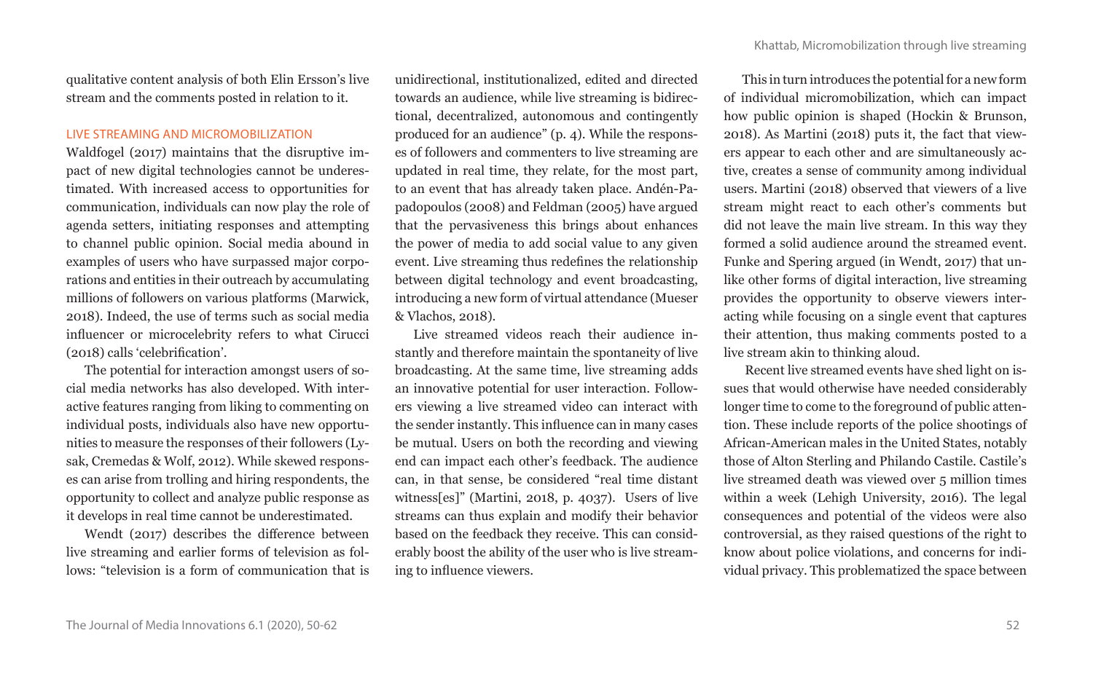qualitative content analysis of both Elin Ersson's live stream and the comments posted in relation to it.

# LIVE STREAMING AND MICROMOBILIZATION

Waldfogel (2017) maintains that the disruptive impact of new digital technologies cannot be underestimated. With increased access to opportunities for communication, individuals can now play the role of agenda setters, initiating responses and attempting to channel public opinion. Social media abound in examples of users who have surpassed major corporations and entities in their outreach by accumulating millions of followers on various platforms (Marwick, 2018). Indeed, the use of terms such as social media influencer or microcelebrity refers to what Cirucci (2018) calls 'celebrification'.

The potential for interaction amongst users of social media networks has also developed. With interactive features ranging from liking to commenting on individual posts, individuals also have new opportunities to measure the responses of their followers (Lysak, Cremedas & Wolf, 2012). While skewed responses can arise from trolling and hiring respondents, the opportunity to collect and analyze public response as it develops in real time cannot be underestimated.

Wendt (2017) describes the difference between live streaming and earlier forms of television as follows: "television is a form of communication that is unidirectional, institutionalized, edited and directed towards an audience, while live streaming is bidirectional, decentralized, autonomous and contingently produced for an audience" (p. 4). While the responses of followers and commenters to live streaming are updated in real time, they relate, for the most part, to an event that has already taken place. Andén-Papadopoulos (2008) and Feldman (2005) have argued that the pervasiveness this brings about enhances the power of media to add social value to any given event. Live streaming thus redefines the relationship between digital technology and event broadcasting, introducing a new form of virtual attendance (Mueser & Vlachos, 2018).

Live streamed videos reach their audience instantly and therefore maintain the spontaneity of live broadcasting. At the same time, live streaming adds an innovative potential for user interaction. Followers viewing a live streamed video can interact with the sender instantly. This influence can in many cases be mutual. Users on both the recording and viewing end can impact each other's feedback. The audience can, in that sense, be considered "real time distant witness[es]" (Martini, 2018, p. 4037). Users of live streams can thus explain and modify their behavior based on the feedback they receive. This can considerably boost the ability of the user who is live streaming to influence viewers.

This in turn introduces the potential for a new form of individual micromobilization, which can impact how public opinion is shaped (Hockin & Brunson, 2018). As Martini (2018) puts it, the fact that viewers appear to each other and are simultaneously active, creates a sense of community among individual users. Martini (2018) observed that viewers of a live stream might react to each other's comments but did not leave the main live stream. In this way they formed a solid audience around the streamed event. Funke and Spering argued (in Wendt, 2017) that unlike other forms of digital interaction, live streaming provides the opportunity to observe viewers interacting while focusing on a single event that captures their attention, thus making comments posted to a live stream akin to thinking aloud.

 Recent live streamed events have shed light on issues that would otherwise have needed considerably longer time to come to the foreground of public attention. These include reports of the police shootings of African-American males in the United States, notably those of Alton Sterling and Philando Castile. Castile's live streamed death was viewed over 5 million times within a week (Lehigh University, 2016). The legal consequences and potential of the videos were also controversial, as they raised questions of the right to know about police violations, and concerns for individual privacy. This problematized the space between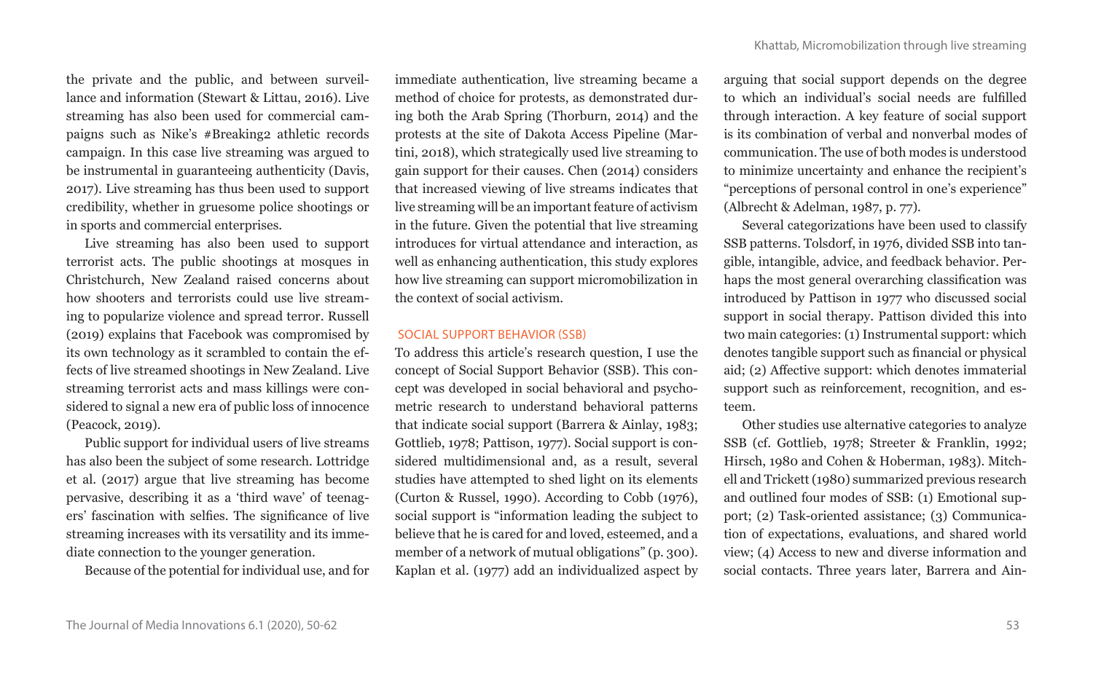the private and the public, and between surveillance and information (Stewart & Littau, 2016). Live streaming has also been used for commercial campaigns such as Nike's #Breaking2 athletic records campaign. In this case live streaming was argued to be instrumental in guaranteeing authenticity (Davis, 2017). Live streaming has thus been used to support credibility, whether in gruesome police shootings or in sports and commercial enterprises.

Live streaming has also been used to support terrorist acts. The public shootings at mosques in Christchurch, New Zealand raised concerns about how shooters and terrorists could use live streaming to popularize violence and spread terror. Russell (2019) explains that Facebook was compromised by its own technology as it scrambled to contain the effects of live streamed shootings in New Zealand. Live streaming terrorist acts and mass killings were considered to signal a new era of public loss of innocence (Peacock, 2019).

Public support for individual users of live streams has also been the subject of some research. Lottridge et al. (2017) argue that live streaming has become pervasive, describing it as a 'third wave' of teenagers' fascination with selfies. The significance of live streaming increases with its versatility and its immediate connection to the younger generation.

Because of the potential for individual use, and for

immediate authentication, live streaming became a method of choice for protests, as demonstrated during both the Arab Spring (Thorburn, 2014) and the protests at the site of Dakota Access Pipeline (Martini, 2018), which strategically used live streaming to gain support for their causes. Chen (2014) considers that increased viewing of live streams indicates that live streaming will be an important feature of activism in the future. Given the potential that live streaming introduces for virtual attendance and interaction, as well as enhancing authentication, this study explores how live streaming can support micromobilization in the context of social activism.

# SOCIAL SUPPORT BEHAVIOR (SSB)

To address this article's research question, I use the concept of Social Support Behavior (SSB). This concept was developed in social behavioral and psychometric research to understand behavioral patterns that indicate social support (Barrera & Ainlay, 1983; Gottlieb, 1978; Pattison, 1977). Social support is considered multidimensional and, as a result, several studies have attempted to shed light on its elements (Curton & Russel, 1990). According to Cobb (1976), social support is "information leading the subject to believe that he is cared for and loved, esteemed, and a member of a network of mutual obligations" (p. 300). Kaplan et al. (1977) add an individualized aspect by arguing that social support depends on the degree to which an individual's social needs are fulfilled through interaction. A key feature of social support is its combination of verbal and nonverbal modes of communication. The use of both modes is understood to minimize uncertainty and enhance the recipient's "perceptions of personal control in one's experience" (Albrecht & Adelman, 1987, p. 77).

Several categorizations have been used to classify SSB patterns. Tolsdorf, in 1976, divided SSB into tangible, intangible, advice, and feedback behavior. Perhaps the most general overarching classification was introduced by Pattison in 1977 who discussed social support in social therapy. Pattison divided this into two main categories: (1) Instrumental support: which denotes tangible support such as financial or physical aid; (2) Affective support: which denotes immaterial support such as reinforcement, recognition, and esteem.

Other studies use alternative categories to analyze SSB (cf. Gottlieb, 1978; Streeter & Franklin, 1992; Hirsch, 1980 and Cohen & Hoberman, 1983). Mitchell and Trickett (1980) summarized previous research and outlined four modes of SSB: (1) Emotional support; (2) Task-oriented assistance; (3) Communication of expectations, evaluations, and shared world view; (4) Access to new and diverse information and social contacts. Three years later, Barrera and Ain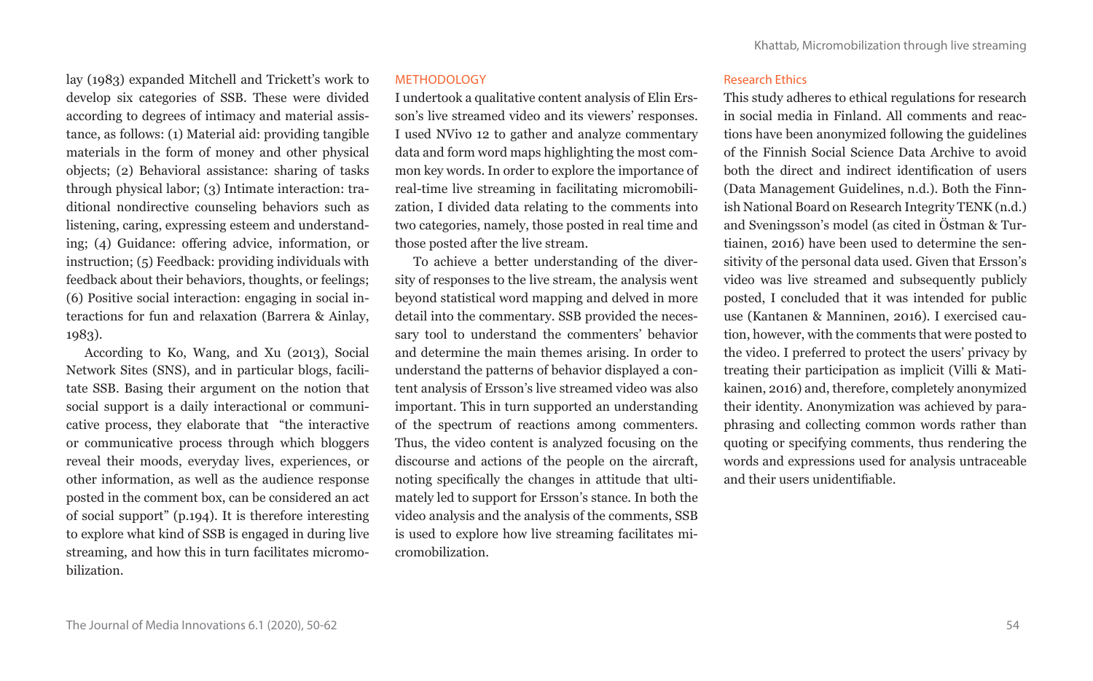lay (1983) expanded Mitchell and Trickett's work to develop six categories of SSB. These were divided according to degrees of intimacy and material assistance, as follows: (1) Material aid: providing tangible materials in the form of money and other physical objects; (2) Behavioral assistance: sharing of tasks through physical labor; (3) Intimate interaction: traditional nondirective counseling behaviors such as listening, caring, expressing esteem and understanding; (4) Guidance: offering advice, information, or instruction; (5) Feedback: providing individuals with feedback about their behaviors, thoughts, or feelings; (6) Positive social interaction: engaging in social interactions for fun and relaxation (Barrera & Ainlay, 1983).

According to Ko, Wang, and Xu (2013), Social Network Sites (SNS), and in particular blogs, facilitate SSB. Basing their argument on the notion that social support is a daily interactional or communicative process, they elaborate that "the interactive or communicative process through which bloggers reveal their moods, everyday lives, experiences, or other information, as well as the audience response posted in the comment box, can be considered an act of social support" (p.194). It is therefore interesting to explore what kind of SSB is engaged in during live streaming, and how this in turn facilitates micromobilization.

## METHODOLOGY

I undertook a qualitative content analysis of Elin Ersson's live streamed video and its viewers' responses. I used NVivo 12 to gather and analyze commentary data and form word maps highlighting the most common key words. In order to explore the importance of real-time live streaming in facilitating micromobilization, I divided data relating to the comments into two categories, namely, those posted in real time and those posted after the live stream.

To achieve a better understanding of the diversity of responses to the live stream, the analysis went beyond statistical word mapping and delved in more detail into the commentary. SSB provided the necessary tool to understand the commenters' behavior and determine the main themes arising. In order to understand the patterns of behavior displayed a content analysis of Ersson's live streamed video was also important. This in turn supported an understanding of the spectrum of reactions among commenters. Thus, the video content is analyzed focusing on the discourse and actions of the people on the aircraft, noting specifically the changes in attitude that ultimately led to support for Ersson's stance. In both the video analysis and the analysis of the comments, SSB is used to explore how live streaming facilitates micromobilization.

#### Research Ethics

This study adheres to ethical regulations for research in social media in Finland. All comments and reactions have been anonymized following the guidelines of the Finnish Social Science Data Archive to avoid both the direct and indirect identification of users (Data Management Guidelines, n.d.). Both the Finnish National Board on Research Integrity TENK (n.d.) and Sveningsson's model (as cited in Östman & Turtiainen, 2016) have been used to determine the sensitivity of the personal data used. Given that Ersson's video was live streamed and subsequently publicly posted, I concluded that it was intended for public use (Kantanen & Manninen, 2016). I exercised caution, however, with the comments that were posted to the video. I preferred to protect the users' privacy by treating their participation as implicit (Villi & Matikainen, 2016) and, therefore, completely anonymized their identity. Anonymization was achieved by paraphrasing and collecting common words rather than quoting or specifying comments, thus rendering the words and expressions used for analysis untraceable and their users unidentifiable.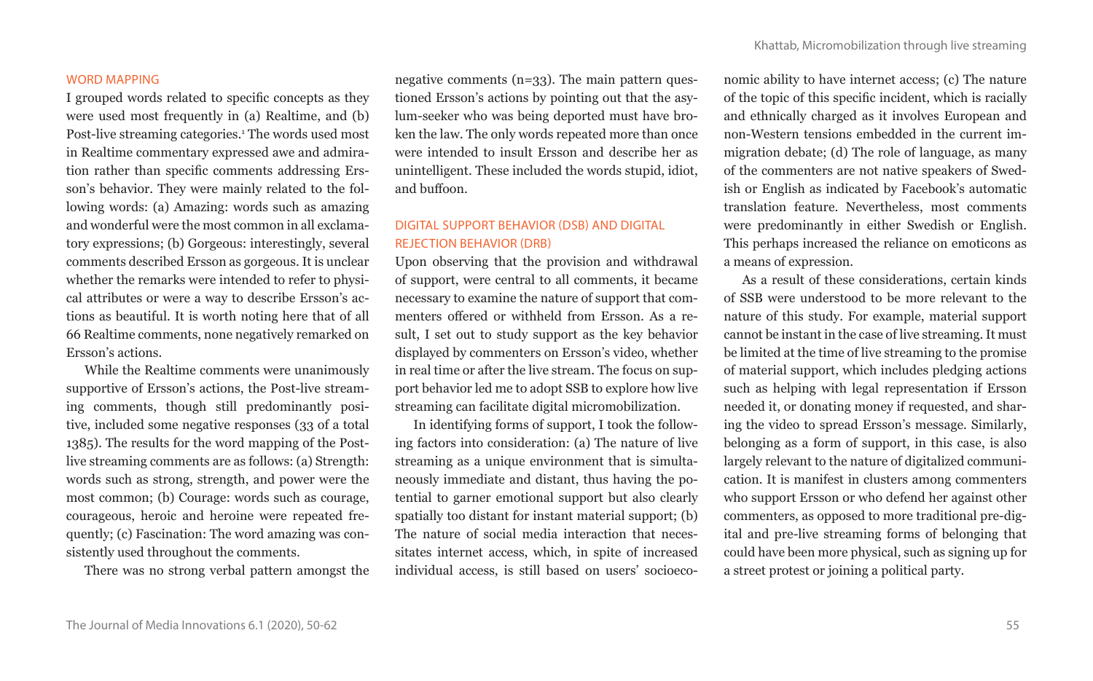#### WORD MAPPING

I grouped words related to specific concepts as they were used most frequently in (a) Realtime, and (b) Post-live streaming categories.1 The words used most in Realtime commentary expressed awe and admiration rather than specific comments addressing Ersson's behavior. They were mainly related to the following words: (a) Amazing: words such as amazing and wonderful were the most common in all exclamatory expressions; (b) Gorgeous: interestingly, several comments described Ersson as gorgeous. It is unclear whether the remarks were intended to refer to physical attributes or were a way to describe Ersson's actions as beautiful. It is worth noting here that of all 66 Realtime comments, none negatively remarked on Ersson's actions.

While the Realtime comments were unanimously supportive of Ersson's actions, the Post-live streaming comments, though still predominantly positive, included some negative responses (33 of a total 1385). The results for the word mapping of the Postlive streaming comments are as follows: (a) Strength: words such as strong, strength, and power were the most common; (b) Courage: words such as courage, courageous, heroic and heroine were repeated frequently; (c) Fascination: The word amazing was consistently used throughout the comments.

There was no strong verbal pattern amongst the

negative comments (n=33). The main pattern questioned Ersson's actions by pointing out that the asylum-seeker who was being deported must have broken the law. The only words repeated more than once were intended to insult Ersson and describe her as unintelligent. These included the words stupid, idiot, and buffoon.

# DIGITAL SUPPORT BEHAVIOR (DSB) AND DIGITAL REJECTION BEHAVIOR (DRB)

Upon observing that the provision and withdrawal of support, were central to all comments, it became necessary to examine the nature of support that commenters offered or withheld from Ersson. As a result, I set out to study support as the key behavior displayed by commenters on Ersson's video, whether in real time or after the live stream. The focus on support behavior led me to adopt SSB to explore how live streaming can facilitate digital micromobilization.

In identifying forms of support, I took the following factors into consideration: (a) The nature of live streaming as a unique environment that is simultaneously immediate and distant, thus having the potential to garner emotional support but also clearly spatially too distant for instant material support; (b) The nature of social media interaction that necessitates internet access, which, in spite of increased individual access, is still based on users' socioeconomic ability to have internet access; (c) The nature of the topic of this specific incident, which is racially and ethnically charged as it involves European and non-Western tensions embedded in the current immigration debate; (d) The role of language, as many of the commenters are not native speakers of Swedish or English as indicated by Facebook's automatic translation feature. Nevertheless, most comments were predominantly in either Swedish or English. This perhaps increased the reliance on emoticons as a means of expression.

As a result of these considerations, certain kinds of SSB were understood to be more relevant to the nature of this study. For example, material support cannot be instant in the case of live streaming. It must be limited at the time of live streaming to the promise of material support, which includes pledging actions such as helping with legal representation if Ersson needed it, or donating money if requested, and sharing the video to spread Ersson's message. Similarly, belonging as a form of support, in this case, is also largely relevant to the nature of digitalized communication. It is manifest in clusters among commenters who support Ersson or who defend her against other commenters, as opposed to more traditional pre-digital and pre-live streaming forms of belonging that could have been more physical, such as signing up for a street protest or joining a political party.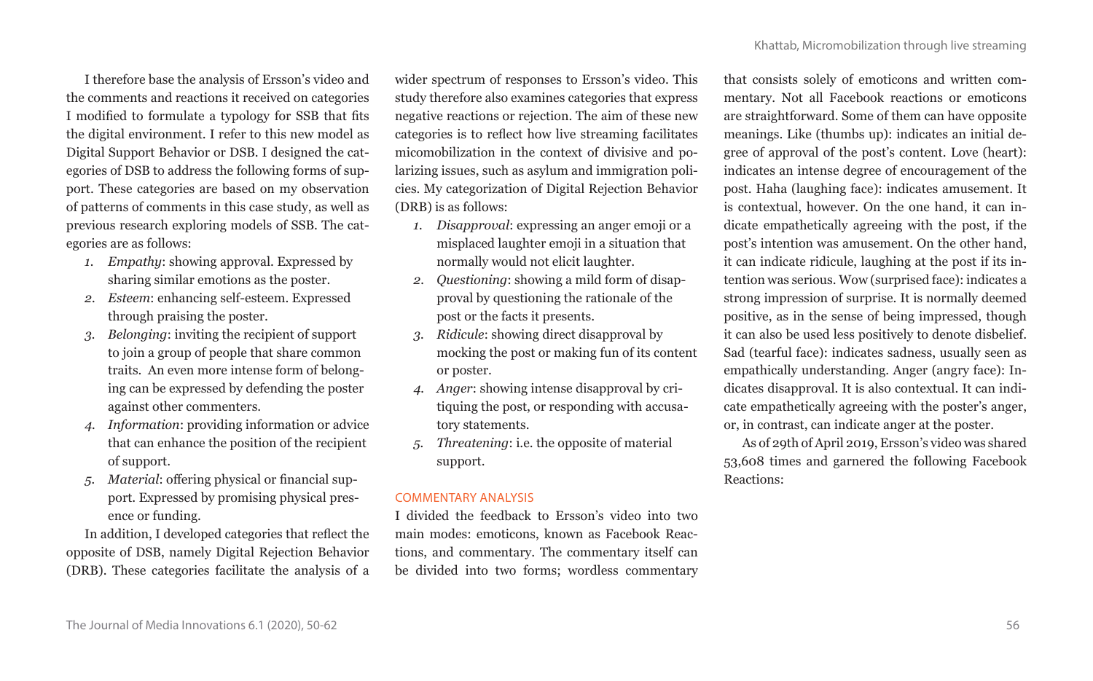I therefore base the analysis of Ersson's video and the comments and reactions it received on categories I modified to formulate a typology for SSB that fits the digital environment. I refer to this new model as Digital Support Behavior or DSB. I designed the categories of DSB to address the following forms of support. These categories are based on my observation of patterns of comments in this case study, as well as previous research exploring models of SSB. The categories are as follows:

- *1. Empathy*: showing approval. Expressed by sharing similar emotions as the poster.
- *2. Esteem*: enhancing self-esteem. Expressed through praising the poster.
- *3. Belonging*: inviting the recipient of support to join a group of people that share common traits. An even more intense form of belonging can be expressed by defending the poster against other commenters.
- *4. Information*: providing information or advice that can enhance the position of the recipient of support.
- *5. Material*: offering physical or financial support. Expressed by promising physical presence or funding.

In addition, I developed categories that reflect the opposite of DSB, namely Digital Rejection Behavior (DRB). These categories facilitate the analysis of a

wider spectrum of responses to Ersson's video. This study therefore also examines categories that express negative reactions or rejection. The aim of these new categories is to reflect how live streaming facilitates micomobilization in the context of divisive and polarizing issues, such as asylum and immigration policies. My categorization of Digital Rejection Behavior (DRB) is as follows:

- *1. Disapproval*: expressing an anger emoji or a misplaced laughter emoji in a situation that normally would not elicit laughter.
- *2. Questioning*: showing a mild form of disapproval by questioning the rationale of the post or the facts it presents.
- *3. Ridicule*: showing direct disapproval by mocking the post or making fun of its content or poster.
- *4. Anger*: showing intense disapproval by critiquing the post, or responding with accusatory statements.
- *5. Threatening*: i.e. the opposite of material support.

## COMMENTARY ANALYSIS

I divided the feedback to Ersson's video into two main modes: emoticons, known as Facebook Reactions, and commentary. The commentary itself can be divided into two forms; wordless commentary

that consists solely of emoticons and written commentary. Not all Facebook reactions or emoticons are straightforward. Some of them can have opposite meanings. Like (thumbs up): indicates an initial degree of approval of the post's content. Love (heart): indicates an intense degree of encouragement of the post. Haha (laughing face): indicates amusement. It is contextual, however. On the one hand, it can indicate empathetically agreeing with the post, if the post's intention was amusement. On the other hand, it can indicate ridicule, laughing at the post if its intention was serious. Wow (surprised face): indicates a strong impression of surprise. It is normally deemed positive, as in the sense of being impressed, though it can also be used less positively to denote disbelief. Sad (tearful face): indicates sadness, usually seen as empathically understanding. Anger (angry face): Indicates disapproval. It is also contextual. It can indicate empathetically agreeing with the poster's anger, or, in contrast, can indicate anger at the poster.

As of 29th of April 2019, Ersson's video was shared 53,608 times and garnered the following Facebook Reactions: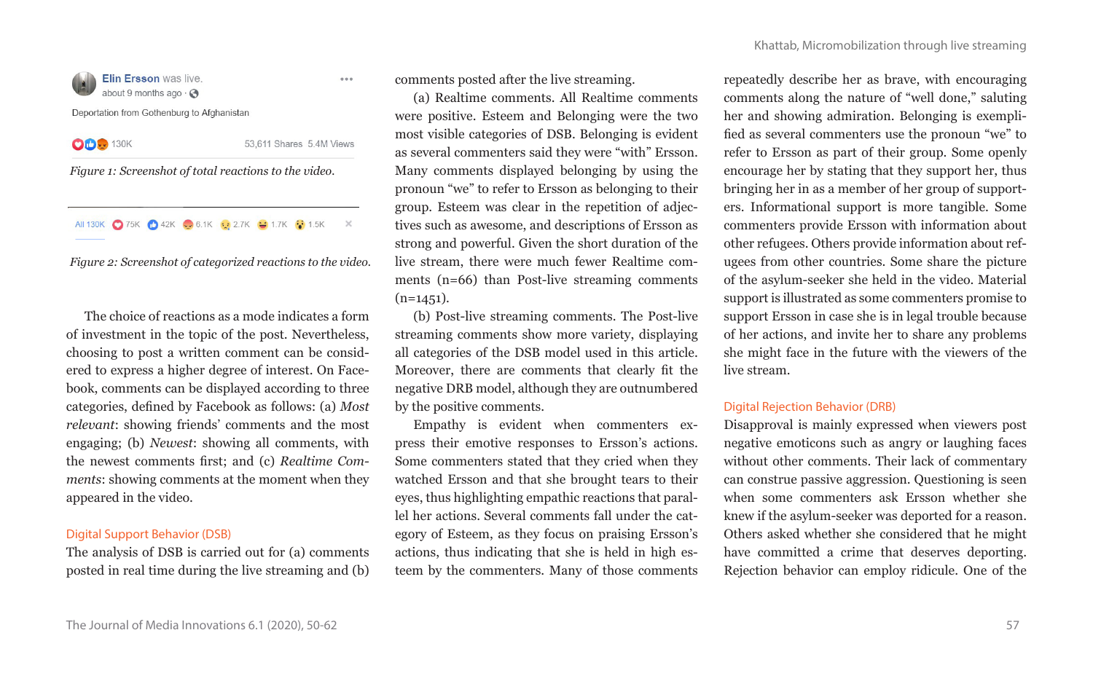

 $5.5.6$ 

Deportation from Gothenburg to Afghanistan

**OD** 130K

53,611 Shares 5.4M Views

*Figure 1: Screenshot of total reactions to the video.*

All 130K 375K 342K 36.1K 32.7K 31.7K 31.5K X

*Figure 2: Screenshot of categorized reactions to the video.*

The choice of reactions as a mode indicates a form of investment in the topic of the post. Nevertheless, choosing to post a written comment can be considered to express a higher degree of interest. On Facebook, comments can be displayed according to three categories, defined by Facebook as follows: (a) *Most relevant*: showing friends' comments and the most engaging; (b) *Newest*: showing all comments, with the newest comments first; and (c) *Realtime Comments*: showing comments at the moment when they appeared in the video.

## Digital Support Behavior (DSB)

The analysis of DSB is carried out for (a) comments posted in real time during the live streaming and (b)

comments posted after the live streaming.

(a) Realtime comments. All Realtime comments were positive. Esteem and Belonging were the two most visible categories of DSB. Belonging is evident as several commenters said they were "with" Ersson. Many comments displayed belonging by using the pronoun "we" to refer to Ersson as belonging to their group. Esteem was clear in the repetition of adjectives such as awesome, and descriptions of Ersson as strong and powerful. Given the short duration of the live stream, there were much fewer Realtime comments (n=66) than Post-live streaming comments  $(n=1451)$ .

(b) Post-live streaming comments. The Post-live streaming comments show more variety, displaying all categories of the DSB model used in this article. Moreover, there are comments that clearly fit the negative DRB model, although they are outnumbered by the positive comments.

Empathy is evident when commenters express their emotive responses to Ersson's actions. Some commenters stated that they cried when they watched Ersson and that she brought tears to their eyes, thus highlighting empathic reactions that parallel her actions. Several comments fall under the category of Esteem, as they focus on praising Ersson's actions, thus indicating that she is held in high esteem by the commenters. Many of those comments repeatedly describe her as brave, with encouraging comments along the nature of "well done," saluting her and showing admiration. Belonging is exemplified as several commenters use the pronoun "we" to refer to Ersson as part of their group. Some openly encourage her by stating that they support her, thus bringing her in as a member of her group of supporters. Informational support is more tangible. Some commenters provide Ersson with information about other refugees. Others provide information about refugees from other countries. Some share the picture of the asylum-seeker she held in the video. Material support is illustrated as some commenters promise to support Ersson in case she is in legal trouble because of her actions, and invite her to share any problems she might face in the future with the viewers of the live stream.

# Digital Rejection Behavior (DRB)

Disapproval is mainly expressed when viewers post negative emoticons such as angry or laughing faces without other comments. Their lack of commentary can construe passive aggression. Questioning is seen when some commenters ask Ersson whether she knew if the asylum-seeker was deported for a reason. Others asked whether she considered that he might have committed a crime that deserves deporting. Rejection behavior can employ ridicule. One of the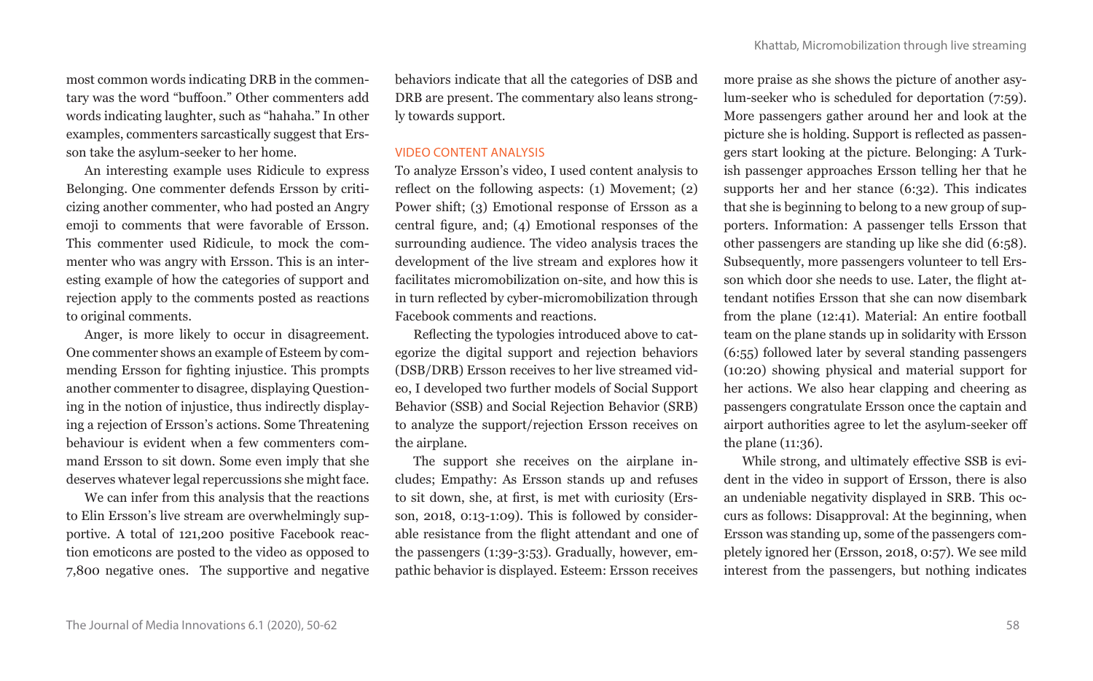most common words indicating DRB in the commentary was the word "buffoon." Other commenters add words indicating laughter, such as "hahaha." In other examples, commenters sarcastically suggest that Ersson take the asylum-seeker to her home.

An interesting example uses Ridicule to express Belonging. One commenter defends Ersson by criticizing another commenter, who had posted an Angry emoji to comments that were favorable of Ersson. This commenter used Ridicule, to mock the commenter who was angry with Ersson. This is an interesting example of how the categories of support and rejection apply to the comments posted as reactions to original comments.

Anger, is more likely to occur in disagreement. One commenter shows an example of Esteem by commending Ersson for fighting injustice. This prompts another commenter to disagree, displaying Questioning in the notion of injustice, thus indirectly displaying a rejection of Ersson's actions. Some Threatening behaviour is evident when a few commenters command Ersson to sit down. Some even imply that she deserves whatever legal repercussions she might face.

We can infer from this analysis that the reactions to Elin Ersson's live stream are overwhelmingly supportive. A total of 121,200 positive Facebook reaction emoticons are posted to the video as opposed to 7,800 negative ones. The supportive and negative behaviors indicate that all the categories of DSB and DRB are present. The commentary also leans strongly towards support.

#### VIDEO CONTENT ANALYSIS

To analyze Ersson's video, I used content analysis to reflect on the following aspects: (1) Movement; (2) Power shift; (3) Emotional response of Ersson as a central figure, and; (4) Emotional responses of the surrounding audience. The video analysis traces the development of the live stream and explores how it facilitates micromobilization on-site, and how this is in turn reflected by cyber-micromobilization through Facebook comments and reactions.

Reflecting the typologies introduced above to categorize the digital support and rejection behaviors (DSB/DRB) Ersson receives to her live streamed video, I developed two further models of Social Support Behavior (SSB) and Social Rejection Behavior (SRB) to analyze the support/rejection Ersson receives on the airplane.

The support she receives on the airplane includes; Empathy: As Ersson stands up and refuses to sit down, she, at first, is met with curiosity (Ersson, 2018, 0:13-1:09). This is followed by considerable resistance from the flight attendant and one of the passengers (1:39-3:53). Gradually, however, empathic behavior is displayed. Esteem: Ersson receives more praise as she shows the picture of another asylum-seeker who is scheduled for deportation (7:59). More passengers gather around her and look at the picture she is holding. Support is reflected as passengers start looking at the picture. Belonging: A Turkish passenger approaches Ersson telling her that he supports her and her stance (6:32). This indicates that she is beginning to belong to a new group of supporters. Information: A passenger tells Ersson that other passengers are standing up like she did (6:58). Subsequently, more passengers volunteer to tell Ersson which door she needs to use. Later, the flight attendant notifies Ersson that she can now disembark from the plane (12:41). Material: An entire football team on the plane stands up in solidarity with Ersson (6:55) followed later by several standing passengers (10:20) showing physical and material support for her actions. We also hear clapping and cheering as passengers congratulate Ersson once the captain and airport authorities agree to let the asylum-seeker off the plane (11:36).

While strong, and ultimately effective SSB is evident in the video in support of Ersson, there is also an undeniable negativity displayed in SRB. This occurs as follows: Disapproval: At the beginning, when Ersson was standing up, some of the passengers completely ignored her (Ersson, 2018, 0:57). We see mild interest from the passengers, but nothing indicates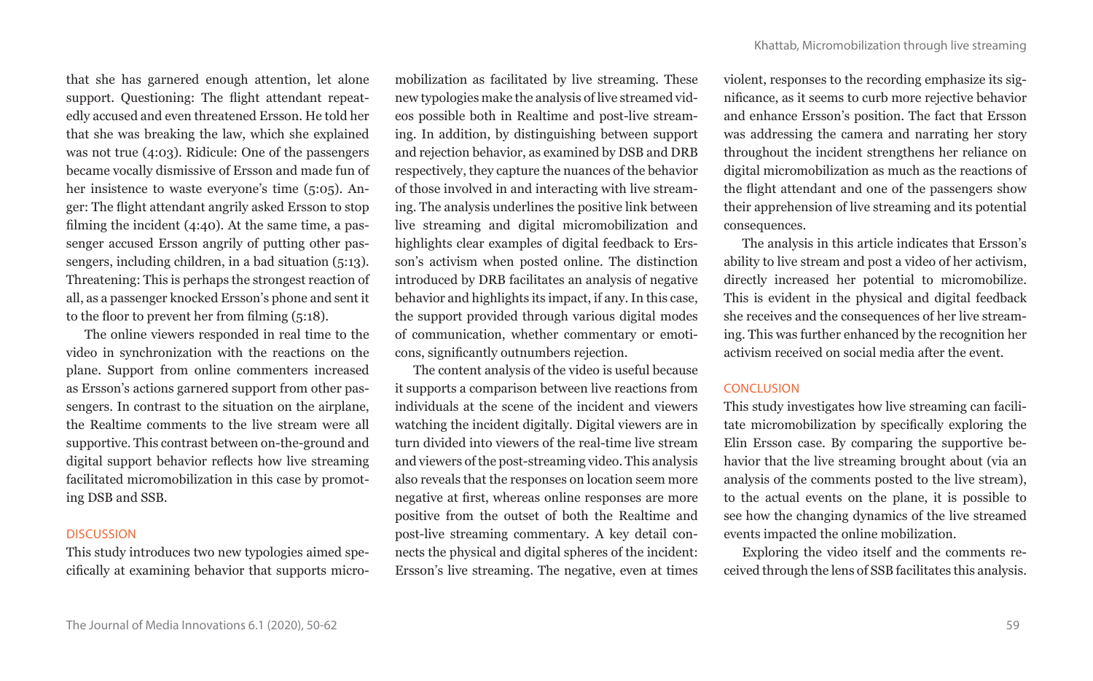that she has garnered enough attention, let alone support. Questioning: The flight attendant repeatedly accused and even threatened Ersson. He told her that she was breaking the law, which she explained was not true (4:03). Ridicule: One of the passengers became vocally dismissive of Ersson and made fun of her insistence to waste everyone's time (5:05). Anger: The flight attendant angrily asked Ersson to stop filming the incident (4:40). At the same time, a passenger accused Ersson angrily of putting other passengers, including children, in a bad situation (5:13). Threatening: This is perhaps the strongest reaction of all, as a passenger knocked Ersson's phone and sent it to the floor to prevent her from filming (5:18).

The online viewers responded in real time to the video in synchronization with the reactions on the plane. Support from online commenters increased as Ersson's actions garnered support from other passengers. In contrast to the situation on the airplane, the Realtime comments to the live stream were all supportive. This contrast between on-the-ground and digital support behavior reflects how live streaming facilitated micromobilization in this case by promoting DSB and SSB.

## **DISCUSSION**

This study introduces two new typologies aimed specifically at examining behavior that supports micromobilization as facilitated by live streaming. These new typologies make the analysis of live streamed videos possible both in Realtime and post-live streaming. In addition, by distinguishing between support and rejection behavior, as examined by DSB and DRB respectively, they capture the nuances of the behavior of those involved in and interacting with live streaming. The analysis underlines the positive link between live streaming and digital micromobilization and highlights clear examples of digital feedback to Ersson's activism when posted online. The distinction introduced by DRB facilitates an analysis of negative behavior and highlights its impact, if any. In this case, the support provided through various digital modes of communication, whether commentary or emoticons, significantly outnumbers rejection.

The content analysis of the video is useful because it supports a comparison between live reactions from individuals at the scene of the incident and viewers watching the incident digitally. Digital viewers are in turn divided into viewers of the real-time live stream and viewers of the post-streaming video. This analysis also reveals that the responses on location seem more negative at first, whereas online responses are more positive from the outset of both the Realtime and post-live streaming commentary. A key detail connects the physical and digital spheres of the incident: Ersson's live streaming. The negative, even at times violent, responses to the recording emphasize its significance, as it seems to curb more rejective behavior and enhance Ersson's position. The fact that Ersson was addressing the camera and narrating her story throughout the incident strengthens her reliance on digital micromobilization as much as the reactions of the flight attendant and one of the passengers show their apprehension of live streaming and its potential consequences.

The analysis in this article indicates that Ersson's ability to live stream and post a video of her activism, directly increased her potential to micromobilize. This is evident in the physical and digital feedback she receives and the consequences of her live streaming. This was further enhanced by the recognition her activism received on social media after the event.

# **CONCLUSION**

This study investigates how live streaming can facilitate micromobilization by specifically exploring the Elin Ersson case. By comparing the supportive behavior that the live streaming brought about (via an analysis of the comments posted to the live stream), to the actual events on the plane, it is possible to see how the changing dynamics of the live streamed events impacted the online mobilization.

Exploring the video itself and the comments received through the lens of SSB facilitates this analysis.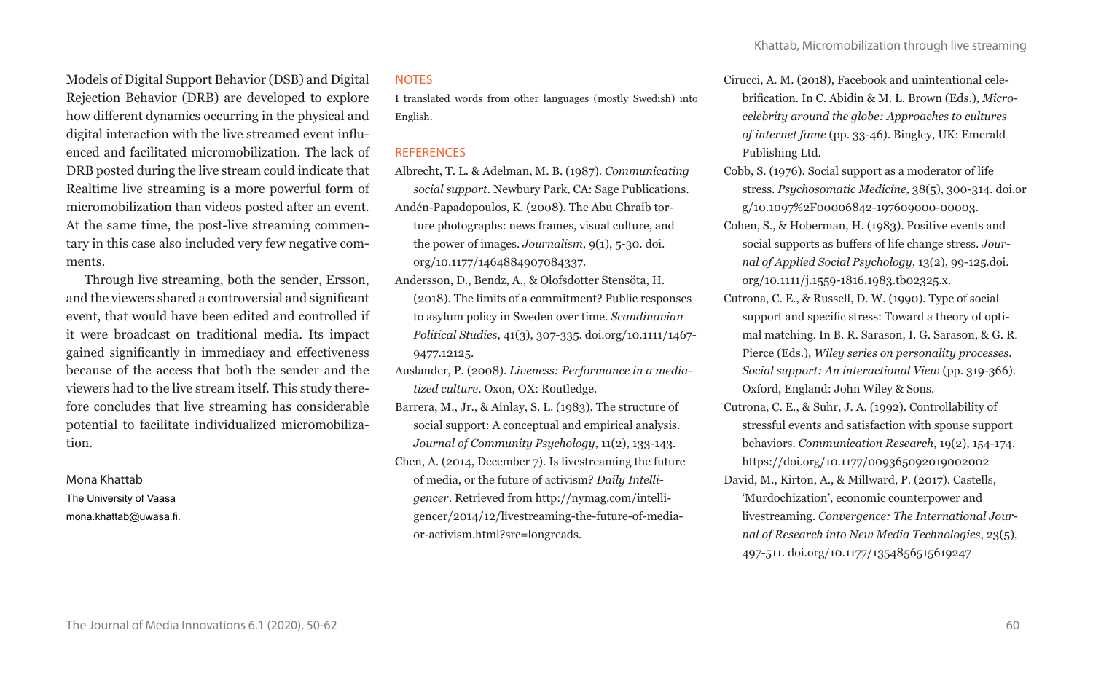Models of Digital Support Behavior (DSB) and Digital Rejection Behavior (DRB) are developed to explore how different dynamics occurring in the physical and digital interaction with the live streamed event influenced and facilitated micromobilization. The lack of DRB posted during the live stream could indicate that Realtime live streaming is a more powerful form of micromobilization than videos posted after an event. At the same time, the post-live streaming commentary in this case also included very few negative comments.

Through live streaming, both the sender, Ersson, and the viewers shared a controversial and significant event, that would have been edited and controlled if it were broadcast on traditional media. Its impact gained significantly in immediacy and effectiveness because of the access that both the sender and the viewers had to the live stream itself. This study therefore concludes that live streaming has considerable potential to facilitate individualized micromobilization.

Mona Khattab The University of Vaasa mona.khattab@uwasa.fi.

# **NOTES**

I translated words from other languages (mostly Swedish) into English.

## REFERENCES

- Albrecht, T. L. & Adelman, M. B. (1987). *Communicating social support*. Newbury Park, CA: Sage Publications. Andén-Papadopoulos, K. (2008). The Abu Ghraib torture photographs: news frames, visual culture, and
- the power of images. *Journalism*, 9(1), 5-30. doi. org/10.1177/1464884907084337. Andersson, D., Bendz, A., & Olofsdotter Stensöta, H.
- (2018). The limits of a commitment? Public responses to asylum policy in Sweden over time. *Scandinavian Political Studies*, 41(3), 307-335. doi.org/10.1111/1467- 9477.12125.
- Auslander, P. (2008). *Liveness: Performance in a mediatized culture*. Oxon, OX: Routledge.
- Barrera, M., Jr., & Ainlay, S. L. (1983). The structure of social support: A conceptual and empirical analysis. *Journal of Community Psychology*, 11(2), 133-143.
- Chen, A. (2014, December 7). Is livestreaming the future of media, or the future of activism? *Daily Intelligencer*. Retrieved from http://nymag.com/intelligencer/2014/12/livestreaming-the-future-of-mediaor-activism.html?src=longreads.
- Cirucci, A. M. (2018), Facebook and unintentional celebrification. In C. Abidin & M. L. Brown (Eds.), *Microcelebrity around the globe: Approaches to cultures of internet fame* (pp. 33-46). Bingley, UK: Emerald Publishing Ltd.
- Cobb, S. (1976). Social support as a moderator of life stress. *Psychosomatic Medicine*, 38(5), 300-314. doi.or g/10.1097%2F00006842-197609000-00003.
- Cohen, S., & Hoberman, H. (1983). Positive events and social supports as buffers of life change stress. *Journal of Applied Social Psychology*, 13(2), 99-125.doi. org/10.1111/j.1559-1816.1983.tb02325.x.
- Cutrona, C. E., & Russell, D. W. (1990). Type of social support and specific stress: Toward a theory of optimal matching. In B. R. Sarason, I. G. Sarason, & G. R. Pierce (Eds.), *Wiley series on personality processes. Social support: An interactional View* (pp. 319-366). Oxford, England: John Wiley & Sons.
- Cutrona, C. E., & Suhr, J. A. (1992). Controllability of stressful events and satisfaction with spouse support behaviors. *Communication Research*, 19(2), 154-174. https://doi.org/10.1177/009365092019002002
- David, M., Kirton, A., & Millward, P. (2017). Castells, 'Murdochization', economic counterpower and livestreaming. *Convergence: The International Journal of Research into New Media Technologies*, 23(5), 497-511. doi.org/10.1177/1354856515619247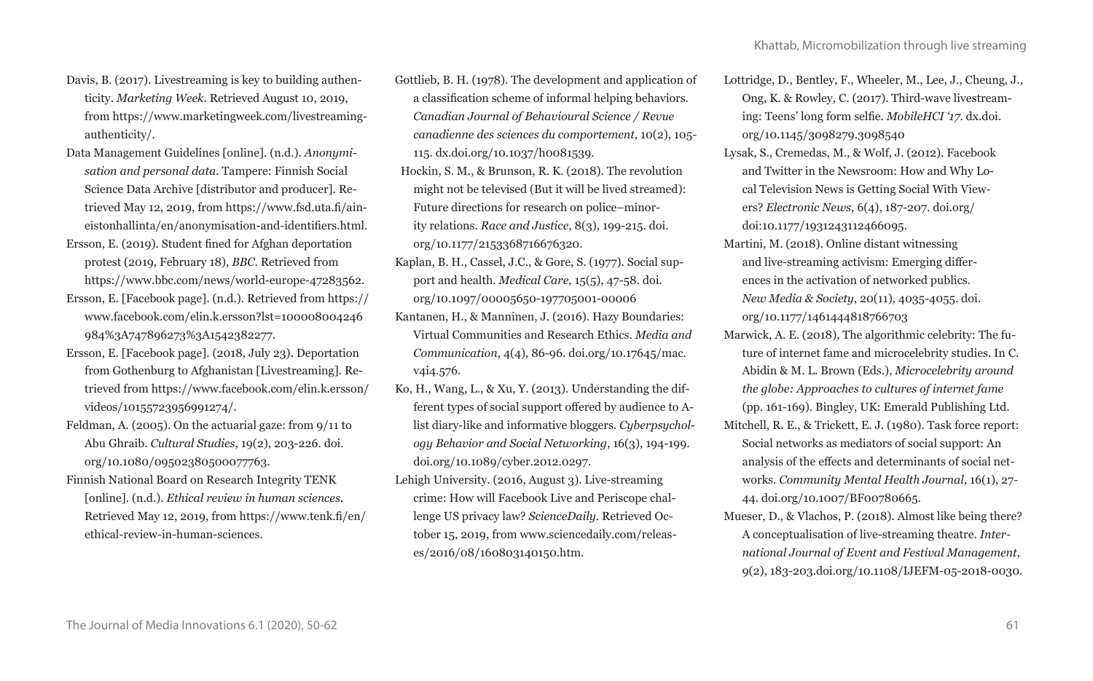- Davis, B. (2017). Livestreaming is key to building authenticity. *Marketing Week*. Retrieved August 10, 2019, from https://www.marketingweek.com/livestreamingauthenticity/.
- Data Management Guidelines [online]. (n.d.). *Anonymisation and personal data*. Tampere: Finnish Social Science Data Archive [distributor and producer]. Retrieved May 12, 2019, from https://www.fsd.uta.fi/aineistonhallinta/en/anonymisation-and-identifiers.html.
- Ersson, E. (2019). Student fined for Afghan deportation protest (2019, February 18), *BBC*. Retrieved from https://www.bbc.com/news/world-europe-47283562.
- Ersson, E. [Facebook page]. (n.d.). Retrieved from https:// www.facebook.com/elin.k.ersson?lst=100008004246 984%3A747896273%3A1542382277.
- Ersson, E. [Facebook page]. (2018, July 23). Deportation from Gothenburg to Afghanistan [Livestreaming]. Retrieved from https://www.facebook.com/elin.k.ersson/ videos/10155723956991274/.
- Feldman, A. (2005). On the actuarial gaze: from 9/11 to Abu Ghraib. *Cultural Studies*, 19(2), 203-226. doi. org/10.1080/09502380500077763.
- Finnish National Board on Research Integrity TENK [online]. (n.d.). *Ethical review in human sciences*. Retrieved May 12, 2019, from https://www.tenk.fi/en/ ethical-review-in-human-sciences.
- Gottlieb, B. H. (1978). The development and application of a classification scheme of informal helping behaviors. *Canadian Journal of Behavioural Science / Revue canadienne des sciences du comportement*, 10(2), 105- 115. dx.doi.org/10.1037/h0081539.
- Hockin, S. M., & Brunson, R. K. (2018). The revolution might not be televised (But it will be lived streamed): Future directions for research on police–minority relations. *Race and Justice*, 8(3), 199-215. doi. org/10.1177/2153368716676320.
- Kaplan, B. H., Cassel, J.C., & Gore, S. (1977). Social support and health. *Medical Care*, 15(5), 47-58. doi. org/10.1097/00005650-197705001-00006
- Kantanen, H., & Manninen, J. (2016). Hazy Boundaries: Virtual Communities and Research Ethics. *Media and Communication*, 4(4), 86-96. doi.org/10.17645/mac. v4i4.576.
- Ko, H., Wang, L., & Xu, Y. (2013). Understanding the different types of social support offered by audience to Alist diary-like and informative bloggers. *Cyberpsychology Behavior and Social Networking*, 16(3), 194-199. doi.org/10.1089/cyber.2012.0297.
- Lehigh University. (2016, August 3). Live-streaming crime: How will Facebook Live and Periscope challenge US privacy law? *ScienceDaily*. Retrieved October 15, 2019, from www.sciencedaily.com/releases/2016/08/160803140150.htm.
- Lottridge, D., Bentley, F., Wheeler, M., Lee, J., Cheung, J., Ong, K. & Rowley, C. (2017). Third-wave livestreaming: Teens' long form selfie. *MobileHCI '17*. dx.doi. org/10.1145/3098279.3098540
- Lysak, S., Cremedas, M., & Wolf, J. (2012). Facebook and Twitter in the Newsroom: How and Why Local Television News is Getting Social With Viewers? *Electronic News*, 6(4), 187-207. doi.org/ doi:10.1177/1931243112466095.
- Martini, M. (2018). Online distant witnessing and live-streaming activism: Emerging differences in the activation of networked publics. *New Media & Society*, 20(11), 4035-4055. doi. org/10.1177/1461444818766703
- Marwick, A. E. (2018), The algorithmic celebrity: The future of internet fame and microcelebrity studies. In C. Abidin & M. L. Brown (Eds.), *Microcelebrity around the globe: Approaches to cultures of internet fame* (pp. 161-169). Bingley, UK: Emerald Publishing Ltd.
- Mitchell, R. E., & Trickett, E. J. (1980). Task force report: Social networks as mediators of social support: An analysis of the effects and determinants of social networks. *Community Mental Health Journal*, 16(1), 27- 44. doi.org/10.1007/BF00780665.
- Mueser, D., & Vlachos, P. (2018). Almost like being there? A conceptualisation of live-streaming theatre. *International Journal of Event and Festival Management*, 9(2), 183-203.doi.org/10.1108/IJEFM-05-2018-0030.